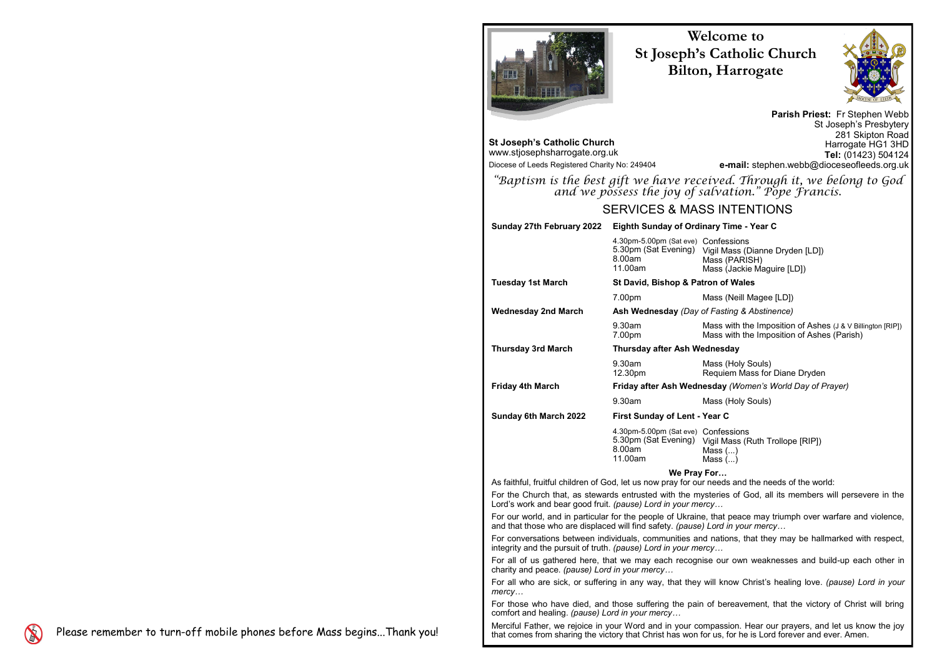# **Welcome to St Joseph's Catholic Church Bilton, Harrogate**



**Parish Priest:** Fr Stephen Webb St Joseph's Presbytery 281 Skipton Road Harrogate HG1 3HD **Tel:** (01423) 504124 **e-mail:** stephen.webb@dioceseofleeds.org.uk

*"Baptism is the best gift we have received. Through it, we belong to God and we possess the joy of salvation." Pope Francis.*

- e) Confessions
- Vigil Mass (Dianne Dryden [LD]) Mass (PARISH) Mass (Jackie Maguire [LD])

## **Patron of Wales**

Mass (Neill Magee [LD])

# SERVICES & MASS INTENTIONS



**St Joseph's Catholic Church** www.stjosephsharrogate.org.uk Diocese of Leeds Registered Charity No: 249404

# **Sunday 27th February 2022 Eighth Sunday of Ordinary Time - Year C**

- e) Confessions
- Vigil Mass (Ruth Trollope [RIP])
- $M$ ass  $(...)$ Mass (...)

## **Wednesday 2nd March Ash Wednesday** *(Day of Fasting & Abstinence)*

Mass with the Imposition of Ashes (J & V Billington [RIP]) Mass with the Imposition of Ashes (Parish)

# **Wednesday**

| <b>Sunday 27th February 2022</b> | <b>Eighth Sunday of Org</b>                                          |
|----------------------------------|----------------------------------------------------------------------|
|                                  | 4.30pm-5.00pm (Sat eve)<br>5.30pm (Sat Evening)<br>8.00am<br>11.00am |
| <b>Tuesday 1st March</b>         | St David, Bishop & P                                                 |
|                                  | 7.00pm                                                               |
| <b>Wednesday 2nd March</b>       | Ash Wednesday (Day                                                   |
|                                  | 9.30am<br>7.00pm                                                     |
| <b>Thursday 3rd March</b>        | <b>Thursday after Ash V</b>                                          |
|                                  | 9.30am<br>12.30pm                                                    |
| <b>Friday 4th March</b>          | <b>Friday after Ash Wed</b>                                          |
|                                  | 9.30am                                                               |
| <b>Sunday 6th March 2022</b>     | <b>First Sunday of Lent</b>                                          |
|                                  | 4.30pm-5.00pm (Sat eve)<br>5.30pm (Sat Evening)<br>8.00am<br>11.00am |
|                                  |                                                                      |

Mass (Holy Souls) Requiem Mass for Diane Dryden

# *<u>Anesday (Women's World Day of Prayer)</u>*

Mass (Holy Souls)

# **Sunday 6th March 2022 First Sunday of Lent - Year C**

# **We Pray For…**

As faithful, fruitful children of God, let us now pray for our needs and the needs of the world:

For the Church that, as stewards entrusted with the mysteries of God, all its members will persevere in the Lord's work and bear good fruit. *(pause) Lord in your mercy…*

For our world, and in particular for the people of Ukraine, that peace may triumph over warfare and violence, and that those who are displaced will find safety. *(pause) Lord in your mercy…*

For conversations between individuals, communities and nations, that they may be hallmarked with respect, integrity and the pursuit of truth. *(pause) Lord in your mercy…*

For all of us gathered here, that we may each recognise our own weaknesses and build-up each other in charity and peace. *(pause) Lord in your mercy…*

For all who are sick, or suffering in any way, that they will know Christ's healing love. *(pause) Lord in your mercy…*

For those who have died, and those suffering the pain of bereavement, that the victory of Christ will bring comfort and healing. *(pause) Lord in your mercy…*

Merciful Father, we rejoice in your Word and in your compassion. Hear our prayers, and let us know the joy that comes from sharing the victory that Christ has won for us, for he is Lord forever and ever. Amen.